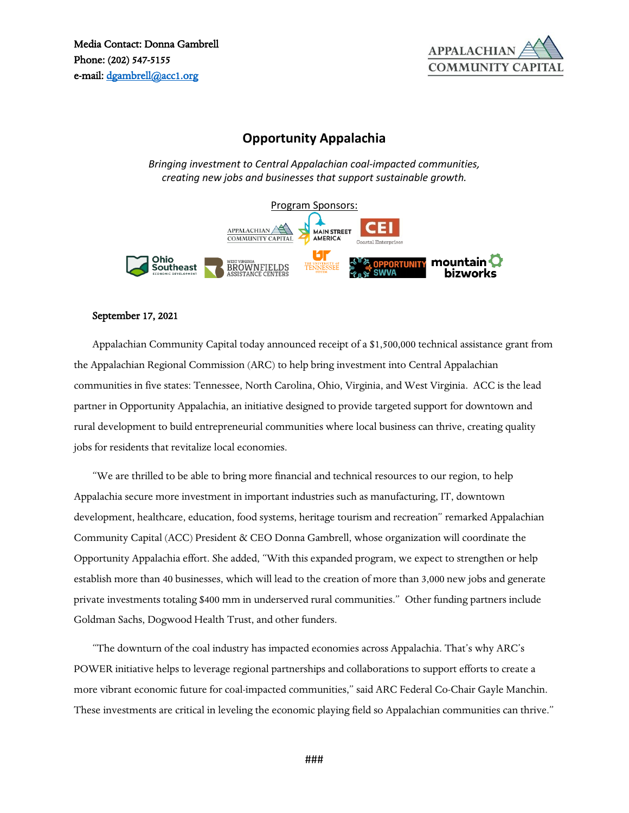

## **Opportunity Appalachia**

*Bringing investment to Central Appalachian coal-impacted communities, creating new jobs and businesses that support sustainable growth.*



## September 17, 2021

Appalachian Community Capital today announced receipt of a \$1,500,000 technical assistance grant from the Appalachian Regional Commission (ARC) to help bring investment into Central Appalachian communities in five states: Tennessee, North Carolina, Ohio, Virginia, and West Virginia. ACC is the lead partner in Opportunity Appalachia, an initiative designed to provide targeted support for downtown and rural development to build entrepreneurial communities where local business can thrive, creating quality jobs for residents that revitalize local economies.

"We are thrilled to be able to bring more financial and technical resources to our region, to help Appalachia secure more investment in important industries such as manufacturing, IT, downtown development, healthcare, education, food systems, heritage tourism and recreation" remarked Appalachian Community Capital (ACC) President & CEO Donna Gambrell, whose organization will coordinate the Opportunity Appalachia effort. She added, "With this expanded program, we expect to strengthen or help establish more than 40 businesses, which will lead to the creation of more than 3,000 new jobs and generate private investments totaling \$400 mm in underserved rural communities." Other funding partners include Goldman Sachs, Dogwood Health Trust, and other funders.

"The downturn of the coal industry has impacted economies across Appalachia. That's why ARC's POWER initiative helps to leverage regional partnerships and collaborations to support efforts to create a more vibrant economic future for coal-impacted communities," said ARC Federal Co-Chair Gayle Manchin. These investments are critical in leveling the economic playing field so Appalachian communities can thrive."